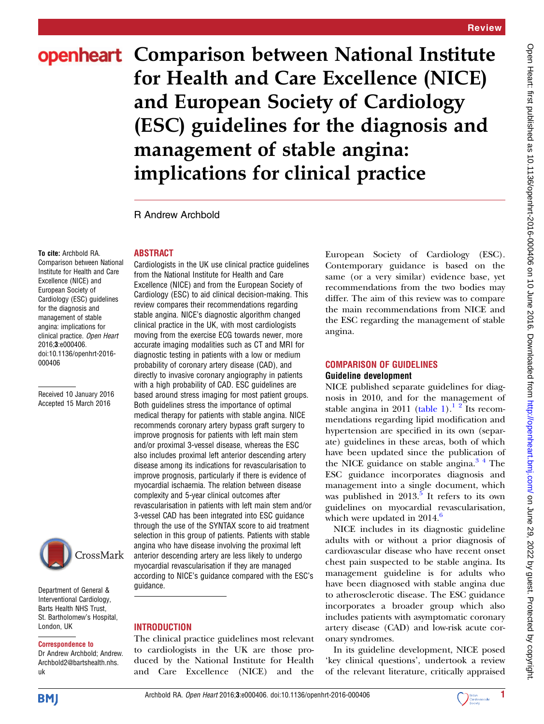# openheart Comparison between National Institute for Health and Care Excellence (NICE) and European Society of Cardiology (ESC) guidelines for the diagnosis and management of stable angina: implications for clinical practice

R Andrew Archbold

ABSTRACT

#### To cite: Archbold RA.

Comparison between National Institute for Health and Care Excellence (NICE) and European Society of Cardiology (ESC) guidelines for the diagnosis and management of stable angina: implications for clinical practice. Open Heart 2016;3:e000406. doi:10.1136/openhrt-2016- 000406

Received 10 January 2016 Accepted 15 March 2016



Department of General & Interventional Cardiology, Barts Health NHS Trust, St. Bartholomew's Hospital, London, UK

#### Correspondence to

Dr Andrew Archbold; Andrew. Archbold2@bartshealth.nhs. uk

Cardiologists in the UK use clinical practice guidelines from the National Institute for Health and Care Excellence (NICE) and from the European Society of Cardiology (ESC) to aid clinical decision-making. This review compares their recommendations regarding stable angina. NICE's diagnostic algorithm changed clinical practice in the UK, with most cardiologists moving from the exercise ECG towards newer, more accurate imaging modalities such as CT and MRI for diagnostic testing in patients with a low or medium probability of coronary artery disease (CAD), and directly to invasive coronary angiography in patients with a high probability of CAD. ESC guidelines are based around stress imaging for most patient groups. Both guidelines stress the importance of optimal medical therapy for patients with stable angina. NICE recommends coronary artery bypass graft surgery to improve prognosis for patients with left main stem and/or proximal 3-vessel disease, whereas the ESC also includes proximal left anterior descending artery disease among its indications for revascularisation to improve prognosis, particularly if there is evidence of myocardial ischaemia. The relation between disease complexity and 5-year clinical outcomes after revascularisation in patients with left main stem and/or 3-vessel CAD has been integrated into ESC guidance through the use of the SYNTAX score to aid treatment selection in this group of patients. Patients with stable angina who have disease involving the proximal left anterior descending artery are less likely to undergo myocardial revascularisation if they are managed according to NICE's guidance compared with the ESC's guidance.

## **INTRODUCTION**

The clinical practice guidelines most relevant to cardiologists in the UK are those produced by the National Institute for Health and Care Excellence (NICE) and the

European Society of Cardiology (ESC). Contemporary guidance is based on the same (or a very similar) evidence base, yet recommendations from the two bodies may differ. The aim of this review was to compare the main recommendations from NICE and the ESC regarding the management of stable angina.

## COMPARISON OF GUIDELINES Guideline development

NICE published separate guidelines for diagnosis in 2010, and for the management of stable angina in 2011 [\(table 1\)](#page-1-0).<sup>1</sup> <sup>2</sup> Its recommendations regarding lipid modification and hypertension are specified in its own (separate) guidelines in these areas, both of which have been updated since the publication of the NICE guidance on stable angina. $3<sup>4</sup>$  The ESC guidance incorporates diagnosis and management into a single document, which was published in  $2013<sup>5</sup>$  $2013<sup>5</sup>$  $2013<sup>5</sup>$  It refers to its own guidelines on myocardial revascularisation, which were updated in  $2014<sup>6</sup>$  $2014<sup>6</sup>$  $2014<sup>6</sup>$ 

NICE includes in its diagnostic guideline adults with or without a prior diagnosis of cardiovascular disease who have recent onset chest pain suspected to be stable angina. Its management guideline is for adults who have been diagnosed with stable angina due to atherosclerotic disease. The ESC guidance incorporates a broader group which also includes patients with asymptomatic coronary artery disease (CAD) and low-risk acute coronary syndromes.

In its guideline development, NICE posed 'key clinical questions', undertook a review of the relevant literature, critically appraised

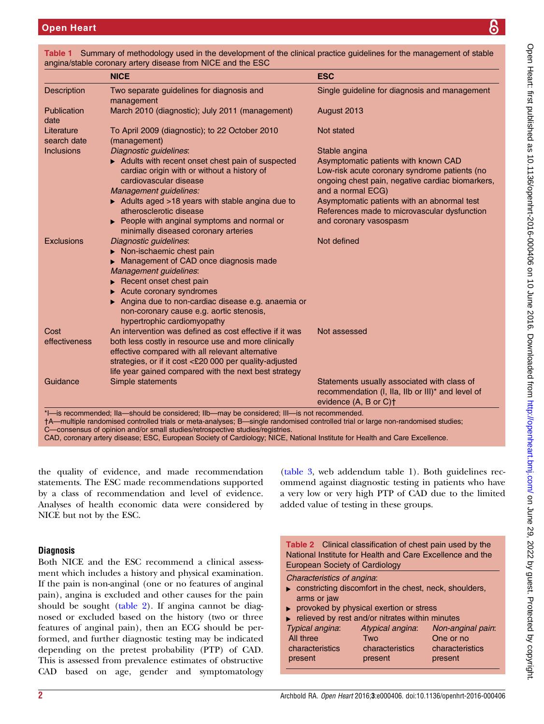|                           | <b>NICE</b>                                                                                                                                                                                                       | <b>ESC</b>                                        |
|---------------------------|-------------------------------------------------------------------------------------------------------------------------------------------------------------------------------------------------------------------|---------------------------------------------------|
| <b>Description</b>        | Two separate guidelines for diagnosis and<br>management                                                                                                                                                           | Single guideline for diagnosis and management     |
| Publication<br>date       | March 2010 (diagnostic); July 2011 (management)                                                                                                                                                                   | August 2013                                       |
| Literature<br>search date | To April 2009 (diagnostic); to 22 October 2010<br>(management)                                                                                                                                                    | Not stated                                        |
| <b>Inclusions</b>         | Diagnostic guidelines:                                                                                                                                                                                            | Stable angina                                     |
|                           | Adults with recent onset chest pain of suspected                                                                                                                                                                  | Asymptomatic patients with known CAD              |
|                           | cardiac origin with or without a history of                                                                                                                                                                       | Low-risk acute coronary syndrome patients (no     |
|                           | cardiovascular disease                                                                                                                                                                                            | ongoing chest pain, negative cardiac biomarkers,  |
|                           | Management guidelines:                                                                                                                                                                                            | and a normal ECG)                                 |
|                           | Adults aged >18 years with stable angina due to                                                                                                                                                                   | Asymptomatic patients with an abnormal test       |
|                           | atherosclerotic disease                                                                                                                                                                                           | References made to microvascular dysfunction      |
|                           | ▶ People with anginal symptoms and normal or<br>minimally diseased coronary arteries                                                                                                                              | and coronary vasospasm                            |
| <b>Exclusions</b>         | Diagnostic guidelines:                                                                                                                                                                                            | Not defined                                       |
|                           | $\triangleright$ Non-ischaemic chest pain                                                                                                                                                                         |                                                   |
|                           | Management of CAD once diagnosis made                                                                                                                                                                             |                                                   |
|                           | Management guidelines:                                                                                                                                                                                            |                                                   |
|                           | $\blacktriangleright$ Recent onset chest pain                                                                                                                                                                     |                                                   |
|                           | Acute coronary syndromes                                                                                                                                                                                          |                                                   |
|                           | Angina due to non-cardiac disease e.g. anaemia or<br>non-coronary cause e.g. aortic stenosis,<br>hypertrophic cardiomyopathy                                                                                      |                                                   |
| Cost                      | An intervention was defined as cost effective if it was                                                                                                                                                           | Not assessed                                      |
| effectiveness             | both less costly in resource use and more clinically                                                                                                                                                              |                                                   |
|                           | effective compared with all relevant alternative                                                                                                                                                                  |                                                   |
|                           | strategies, or if it cost <£20 000 per quality-adjusted                                                                                                                                                           |                                                   |
|                           | life year gained compared with the next best strategy                                                                                                                                                             |                                                   |
| Guidance                  | Simple statements                                                                                                                                                                                                 | Statements usually associated with class of       |
|                           |                                                                                                                                                                                                                   | recommendation (I, IIa, IIb or III)* and level of |
|                           |                                                                                                                                                                                                                   | evidence (A, B or C) <sup>+</sup>                 |
|                           | *I-is recommended; IIa-should be considered; IIb-may be considered; III- is not recommended.                                                                                                                      |                                                   |
|                           | †A—multiple randomised controlled trials or meta-analyses; B—single randomised controlled trial or large non-randomised studies;<br>C-consensus of opinion and/or small studies/retrospective studies/registries. |                                                   |
|                           | CAD, coronary artery disease; ESC, European Society of Cardiology; NICE, National Institute for Health and Care Excellence.                                                                                       |                                                   |

<span id="page-1-0"></span>Table 1 Summary of methodology used in the development of the clinical practice guidelines for the management of stable angina/stable coronary artery disease from NICE and the ESC

the quality of evidence, and made recommendation statements. The ESC made recommendations supported by a class of recommendation and level of evidence. Analyses of health economic data were considered by NICE but not by the ESC.

# **Diagnosis**

Both NICE and the ESC recommend a clinical assessment which includes a history and physical examination. If the pain is non-anginal (one or no features of anginal pain), angina is excluded and other causes for the pain should be sought (table 2). If angina cannot be diagnosed or excluded based on the history (two or three features of anginal pain), then an ECG should be performed, and further diagnostic testing may be indicated depending on the pretest probability (PTP) of CAD. This is assessed from prevalence estimates of obstructive CAD based on age, gender and symptomatology

[\(table 3,](#page-2-0) web addendum table 1). Both guidelines recommend against diagnostic testing in patients who have a very low or very high PTP of CAD due to the limited added value of testing in these groups.

| <b>Table 2</b> Clinical classification of chest pain used by the<br>National Institute for Health and Care Excellence and the<br><b>European Society of Cardiology</b> |                                    |           |  |  |  |
|------------------------------------------------------------------------------------------------------------------------------------------------------------------------|------------------------------------|-----------|--|--|--|
| Characteristics of angina:<br>$\triangleright$ constricting discomfort in the chest, neck, shoulders,<br>arms or jaw                                                   |                                    |           |  |  |  |
| provoked by physical exertion or stress                                                                                                                                |                                    |           |  |  |  |
| $\blacktriangleright$ relieved by rest and/or nitrates within minutes                                                                                                  |                                    |           |  |  |  |
| Typical angina:                                                                                                                                                        | Atypical angina: Non-anginal pain: |           |  |  |  |
| All three                                                                                                                                                              | Two                                | One or no |  |  |  |

characteristics present

characteristics present

characteristics present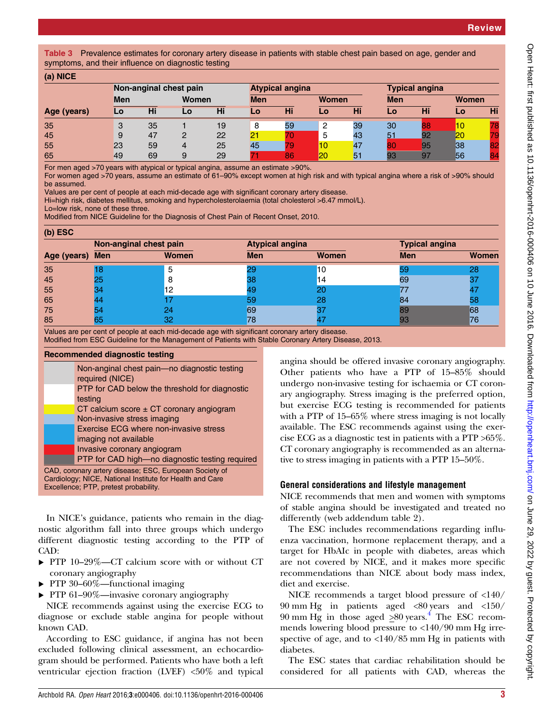<span id="page-2-0"></span>Table 3 Prevalence estimates for coronary artery disease in patients with stable chest pain based on age, gender and symptoms, and their influence on diagnostic testing

| (a) NICE    |                        |    |       |    |            |                        |       |    |                       |    |       |    |
|-------------|------------------------|----|-------|----|------------|------------------------|-------|----|-----------------------|----|-------|----|
|             | Non-anginal chest pain |    |       |    |            | <b>Atypical angina</b> |       |    | <b>Typical angina</b> |    |       |    |
|             | <b>Men</b>             |    | Women |    | <b>Men</b> |                        | Women |    | <b>Men</b>            |    | Women |    |
| Age (years) | Lo                     | Hi | Lo    | Hi | Lo         | Hi                     | Lo    | Hi | Lo                    | Hi | Lo    | Hi |
| 35          | 3                      | 35 |       | 19 | 8          | 59                     | 2     | 39 | 30                    |    | 10    |    |
| 45          | 9                      | 47 | 2     | 22 | 21         | 70                     | 5     | 43 | 51                    | 92 | 20    |    |
| 55          | 23                     | 59 | 4     | 25 | 45         | 79                     | 10    | 47 | 80                    | 95 | 38    |    |
| 65          | 49                     | 69 | 9     | 29 |            | 86                     | 20    | 51 | 93                    | 97 | 56    |    |

For men aged >70 years with atypical or typical angina, assume an estimate >90%.

For women aged >70 years, assume an estimate of 61–90% except women at high risk and with typical angina where a risk of >90% should be assumed.

Values are per cent of people at each mid-decade age with significant coronary artery disease.

Hi=high risk, diabetes mellitus, smoking and hypercholesterolaemia (total cholesterol >6.47 mmol/L).

Lo=low risk, none of these three.

Modified from NICE Guideline for the Diagnosis of Chest Pain of Recent Onset, 2010.

|  | (b) ESC |
|--|---------|
|--|---------|

|             | Non-anginal chest pain |              | <b>Atypical angina</b> |              | <b>Typical angina</b> |              |  |
|-------------|------------------------|--------------|------------------------|--------------|-----------------------|--------------|--|
| Age (years) | <b>Men</b>             | <b>Women</b> | <b>Men</b>             | <b>Women</b> | <b>Men</b>            | <b>Women</b> |  |
| 35          |                        | b            |                        | 10           |                       | 28           |  |
| 45          | 25                     |              | 38                     | 14           | 69                    |              |  |
| 55          |                        | 12           |                        |              |                       |              |  |
| 65          |                        |              | 59                     | 28           | 84                    | 58           |  |
| 75          |                        | 24           | 69                     |              | 39                    | 68           |  |
| 85          |                        | 32           | '8                     |              |                       | 76           |  |

Values are per cent of people at each mid-decade age with significant coronary artery disease.

Modified from ESC Guideline for the Management of Patients with Stable Coronary Artery Disease, 2013.

#### Recommended diagnostic testing

|                                                          | Non-anginal chest pain-no diagnostic testing    |  |  |  |  |
|----------------------------------------------------------|-------------------------------------------------|--|--|--|--|
|                                                          | required (NICE)                                 |  |  |  |  |
|                                                          | PTP for CAD below the threshold for diagnostic  |  |  |  |  |
|                                                          | testing                                         |  |  |  |  |
|                                                          | CT calcium score $\pm$ CT coronary angiogram    |  |  |  |  |
|                                                          | Non-invasive stress imaging                     |  |  |  |  |
|                                                          | Exercise ECG where non-invasive stress          |  |  |  |  |
|                                                          | imaging not available                           |  |  |  |  |
|                                                          | Invasive coronary angiogram                     |  |  |  |  |
|                                                          | PTP for CAD high-no diagnostic testing required |  |  |  |  |
| CAD, coronary artery disease; ESC, European Society of   |                                                 |  |  |  |  |
| Cardiology; NICE, National Institute for Health and Care |                                                 |  |  |  |  |
| Excellence; PTP, pretest probability.                    |                                                 |  |  |  |  |

In NICE's guidance, patients who remain in the diagnostic algorithm fall into three groups which undergo different diagnostic testing according to the PTP of CAD:

- ▸ PTP 10–29%—CT calcium score with or without CT coronary angiography
- ▸ PTP 30–60%—functional imaging
- ▸ PTP 61–90%—invasive coronary angiography

NICE recommends against using the exercise ECG to diagnose or exclude stable angina for people without known CAD.

According to ESC guidance, if angina has not been excluded following clinical assessment, an echocardiogram should be performed. Patients who have both a left ventricular ejection fraction (LVEF) <50% and typical

angina should be offered invasive coronary angiography. Other patients who have a PTP of 15–85% should undergo non-invasive testing for ischaemia or CT coronary angiography. Stress imaging is the preferred option, but exercise ECG testing is recommended for patients with a PTP of 15–65% where stress imaging is not locally available. The ESC recommends against using the exercise ECG as a diagnostic test in patients with a PTP >65%. CT coronary angiography is recommended as an alternative to stress imaging in patients with a PTP 15–50%.

# General considerations and lifestyle management

NICE recommends that men and women with symptoms of stable angina should be investigated and treated no differently (web addendum table 2).

The ESC includes recommendations regarding influenza vaccination, hormone replacement therapy, and a target for HbAIc in people with diabetes, areas which are not covered by NICE, and it makes more specific recommendations than NICE about body mass index, diet and exercise.

NICE recommends a target blood pressure of <140/ 90 mm Hg in patients aged <80 years and <150/  $90 \text{ mm Hg}$  in those aged  $>80 \text{ years.}^4$  $>80 \text{ years.}^4$  The ESC recommends lowering blood pressure to <140/90 mm Hg irrespective of age, and to  $\langle 140/85 \text{ mm Hg} \rangle$  in patients with diabetes.

The ESC states that cardiac rehabilitation should be considered for all patients with CAD, whereas the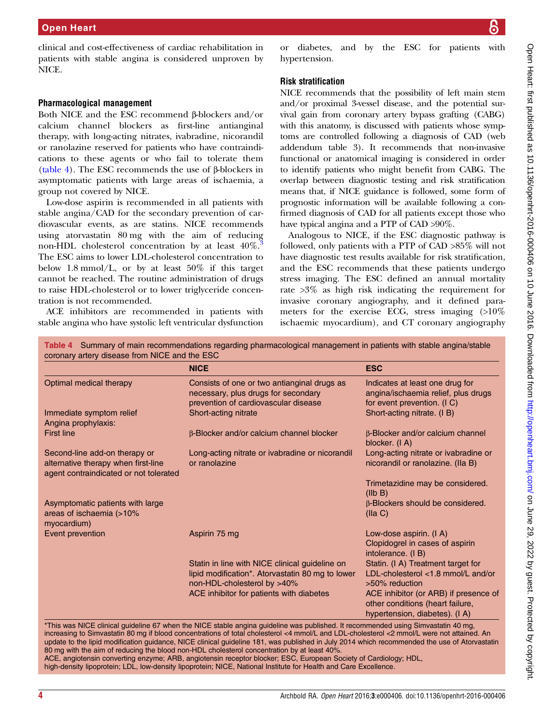clinical and cost-effectiveness of cardiac rehabilitation in patients with stable angina is considered unproven by NICE.

## Pharmacological management

Both NICE and the ESC recommend β-blockers and/or calcium channel blockers as first-line antianginal therapy, with long-acting nitrates, ivabradine, nicorandil or ranolazine reserved for patients who have contraindications to these agents or who fail to tolerate them (table 4). The ESC recommends the use of β-blockers in asymptomatic patients with large areas of ischaemia, a group not covered by NICE.

Low-dose aspirin is recommended in all patients with stable angina/CAD for the secondary prevention of cardiovascular events, as are statins. NICE recommends using atorvastatin 80 mg with the aim of reducing non-HDL cholesterol concentration by at least  $40\%$ . The ESC aims to lower LDL-cholesterol concentration to below 1.8 mmol/L, or by at least  $50\%$  if this target cannot be reached. The routine administration of drugs to raise HDL-cholesterol or to lower triglyceride concentration is not recommended.

ACE inhibitors are recommended in patients with stable angina who have systolic left ventricular dysfunction

diabetes, and by the ESC for patients with hypertension.

# Risk stratification

NICE recommends that the possibility of left main stem and/or proximal 3-vessel disease, and the potential survival gain from coronary artery bypass grafting (CABG) with this anatomy, is discussed with patients whose symptoms are controlled following a diagnosis of CAD (web addendum table 3). It recommends that non-invasive functional or anatomical imaging is considered in order to identify patients who might benefit from CABG. The overlap between diagnostic testing and risk stratification means that, if NICE guidance is followed, some form of prognostic information will be available following a confirmed diagnosis of CAD for all patients except those who have typical angina and a PTP of CAD >90%.

Analogous to NICE, if the ESC diagnostic pathway is followed, only patients with a PTP of CAD >85% will not have diagnostic test results available for risk stratification, and the ESC recommends that these patients undergo stress imaging. The ESC defined an annual mortality rate >3% as high risk indicating the requirement for invasive coronary angiography, and it defined parameters for the exercise ECG, stress imaging (>10% ischaemic myocardium), and CT coronary angiography

| Table 4 Summary of main recommendations regarding pharmacological management in patients with stable angina/stable |            |  |  |  |  |
|--------------------------------------------------------------------------------------------------------------------|------------|--|--|--|--|
| coronary artery disease from NICE and the ESC                                                                      |            |  |  |  |  |
| <b>NICE</b>                                                                                                        | <b>ESC</b> |  |  |  |  |

|                                                                                                                | <b>NICE</b>                                                                                                                       | <b>ESC</b>                                                                                                  |
|----------------------------------------------------------------------------------------------------------------|-----------------------------------------------------------------------------------------------------------------------------------|-------------------------------------------------------------------------------------------------------------|
| Optimal medical therapy                                                                                        | Consists of one or two antianginal drugs as<br>necessary, plus drugs for secondary<br>prevention of cardiovascular disease        | Indicates at least one drug for<br>angina/ischaemia relief, plus drugs<br>for event prevention. (IC)        |
| Immediate symptom relief<br>Angina prophylaxis:                                                                | Short-acting nitrate                                                                                                              | Short-acting nitrate. (I B)                                                                                 |
| <b>First line</b>                                                                                              | β-Blocker and/or calcium channel blocker                                                                                          | β-Blocker and/or calcium channel<br>blocker. (I A)                                                          |
| Second-line add-on therapy or<br>alternative therapy when first-line<br>agent contraindicated or not tolerated | Long-acting nitrate or ivabradine or nicorandil<br>or ranolazine                                                                  | Long-acting nitrate or ivabradine or<br>nicorandil or ranolazine. (Ila B)                                   |
|                                                                                                                |                                                                                                                                   | Trimetazidine may be considered.<br>(IIb B)                                                                 |
| Asymptomatic patients with large<br>areas of ischaemia (>10%<br>myocardium)                                    |                                                                                                                                   | β-Blockers should be considered.<br>(IIa C)                                                                 |
| Event prevention                                                                                               | Aspirin 75 mg                                                                                                                     | Low-dose aspirin. (I A)<br>Clopidogrel in cases of aspirin<br>intolerance. (IB)                             |
|                                                                                                                | Statin in line with NICE clinical guideline on<br>lipid modification*. Atorvastatin 80 mg to lower<br>non-HDL-cholesterol by >40% | Statin. (I A) Treatment target for<br>LDL-cholesterol <1.8 mmol/L and/or<br>>50% reduction                  |
|                                                                                                                | ACE inhibitor for patients with diabetes                                                                                          | ACE inhibitor (or ARB) if presence of<br>other conditions (heart failure,<br>hypertension, diabetes). (I A) |
|                                                                                                                | *This was NICE clinical guideline 67 when the NICE stable angina guideline was published. It recommended using Simvastatin 40 mg, |                                                                                                             |

increasing to Simvastatin 80 mg if blood concentrations of total cholesterol <4 mmol/L and LDL-cholesterol <2 mmol/L were not attained. An update to the lipid modification guidance, NICE clinical guideline 181, was published in July 2014 which recommended the use of Atorvastatin 80 mg with the aim of reducing the blood non-HDL cholesterol concentration by at least 40%. ACE, angiotensin converting enzyme; ARB, angiotensin receptor blocker; ESC, European Society of Cardiology; HDL,

high-density lipoprotein; LDL, low-density lipoprotein; NICE, National Institute for Health and Care Excellence.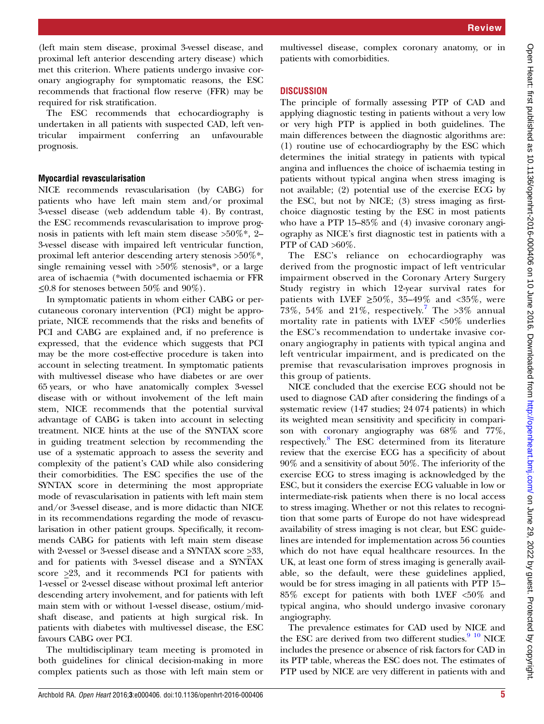(left main stem disease, proximal 3-vessel disease, and proximal left anterior descending artery disease) which met this criterion. Where patients undergo invasive coronary angiography for symptomatic reasons, the ESC recommends that fractional flow reserve (FFR) may be required for risk stratification.

The ESC recommends that echocardiography is undertaken in all patients with suspected CAD, left ventricular impairment conferring an unfavourable prognosis.

### Myocardial revascularisation

NICE recommends revascularisation (by CABG) for patients who have left main stem and/or proximal 3-vessel disease (web addendum table 4). By contrast, the ESC recommends revascularisation to improve prognosis in patients with left main stem disease  $>50\%$ \*, 2– 3-vessel disease with impaired left ventricular function, proximal left anterior descending artery stenosis >50%\*, single remaining vessel with >50% stenosis\*, or a large area of ischaemia (\*with documented ischaemia or FFR  $\leq$ 0.8 for stenoses between 50% and 90%).

In symptomatic patients in whom either CABG or percutaneous coronary intervention (PCI) might be appropriate, NICE recommends that the risks and benefits of PCI and CABG are explained and, if no preference is expressed, that the evidence which suggests that PCI may be the more cost-effective procedure is taken into account in selecting treatment. In symptomatic patients with multivessel disease who have diabetes or are over 65 years, or who have anatomically complex 3-vessel disease with or without involvement of the left main stem, NICE recommends that the potential survival advantage of CABG is taken into account in selecting treatment. NICE hints at the use of the SYNTAX score in guiding treatment selection by recommending the use of a systematic approach to assess the severity and complexity of the patient's CAD while also considering their comorbidities. The ESC specifies the use of the SYNTAX score in determining the most appropriate mode of revascularisation in patients with left main stem and/or 3-vessel disease, and is more didactic than NICE in its recommendations regarding the mode of revascularisation in other patient groups. Specifically, it recommends CABG for patients with left main stem disease with 2-vessel or 3-vessel disease and a SYNTAX score >33, and for patients with 3-vessel disease and a SYNTAX score >23, and it recommends PCI for patients with 1-vessel or 2-vessel disease without proximal left anterior descending artery involvement, and for patients with left main stem with or without 1-vessel disease, ostium/midshaft disease, and patients at high surgical risk. In patients with diabetes with multivessel disease, the ESC favours CABG over PCI.

The multidisciplinary team meeting is promoted in both guidelines for clinical decision-making in more complex patients such as those with left main stem or

multivessel disease, complex coronary anatomy, or in patients with comorbidities.

# **DISCUSSION**

The principle of formally assessing PTP of CAD and applying diagnostic testing in patients without a very low or very high PTP is applied in both guidelines. The main differences between the diagnostic algorithms are: (1) routine use of echocardiography by the ESC which determines the initial strategy in patients with typical angina and influences the choice of ischaemia testing in patients without typical angina when stress imaging is not available; (2) potential use of the exercise ECG by the ESC, but not by NICE; (3) stress imaging as firstchoice diagnostic testing by the ESC in most patients who have a PTP 15–85% and (4) invasive coronary angiography as NICE's first diagnostic test in patients with a PTP of CAD  $>60\%$ .

The ESC's reliance on echocardiography was derived from the prognostic impact of left ventricular impairment observed in the Coronary Artery Surgery Study registry in which 12-year survival rates for patients with LVEF  $\geq 50\%$ , 35–49% and <35%, were [7](#page-6-0)3%, 54% and 21%, respectively.<sup>7</sup> The >3% annual mortality rate in patients with LVEF <50% underlies the ESC's recommendation to undertake invasive coronary angiography in patients with typical angina and left ventricular impairment, and is predicated on the premise that revascularisation improves prognosis in this group of patients.

NICE concluded that the exercise ECG should not be used to diagnose CAD after considering the findings of a systematic review (147 studies; 24 074 patients) in which its weighted mean sensitivity and specificity in comparison with coronary angiography was 68% and 77%, respectively.<sup>[8](#page-6-0)</sup> The ESC determined from its literature review that the exercise ECG has a specificity of about 90% and a sensitivity of about 50%. The inferiority of the exercise ECG to stress imaging is acknowledged by the ESC, but it considers the exercise ECG valuable in low or intermediate-risk patients when there is no local access to stress imaging. Whether or not this relates to recognition that some parts of Europe do not have widespread availability of stress imaging is not clear, but ESC guidelines are intended for implementation across 56 counties which do not have equal healthcare resources. In the UK, at least one form of stress imaging is generally available, so the default, were these guidelines applied, would be for stress imaging in all patients with PTP 15– 85% except for patients with both LVEF <50% and typical angina, who should undergo invasive coronary angiography.

The prevalence estimates for CAD used by NICE and the ESC are derived from two different studies. $9\,10\,$  NICE includes the presence or absence of risk factors for CAD in its PTP table, whereas the ESC does not. The estimates of PTP used by NICE are very different in patients with and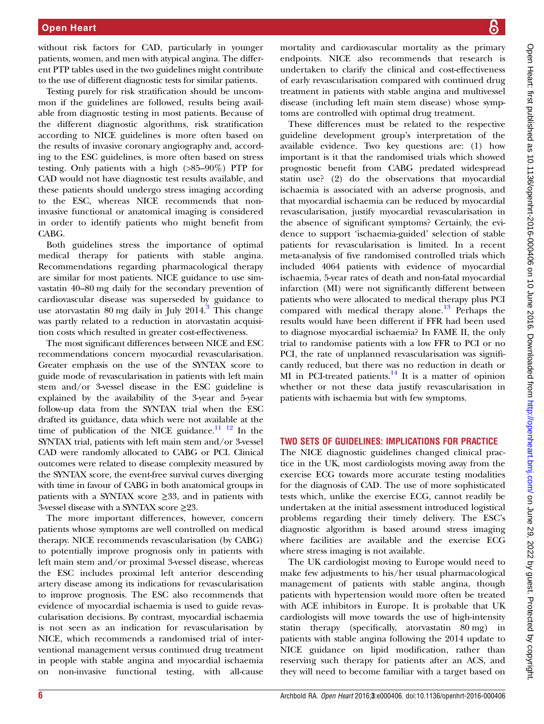without risk factors for CAD, particularly in younger patients, women, and men with atypical angina. The different PTP tables used in the two guidelines might contribute to the use of different diagnostic tests for similar patients.

Testing purely for risk stratification should be uncommon if the guidelines are followed, results being available from diagnostic testing in most patients. Because of the different diagnostic algorithms, risk stratification according to NICE guidelines is more often based on the results of invasive coronary angiography and, according to the ESC guidelines, is more often based on stress testing. Only patients with a high (>85–90%) PTP for CAD would not have diagnostic test results available, and these patients should undergo stress imaging according to the ESC, whereas NICE recommends that noninvasive functional or anatomical imaging is considered in order to identify patients who might benefit from CABG.

Both guidelines stress the importance of optimal medical therapy for patients with stable angina. Recommendations regarding pharmacological therapy are similar for most patients. NICE guidance to use simvastatin 40–80 mg daily for the secondary prevention of cardiovascular disease was superseded by guidance to use atorvastatin 80 mg daily in July  $2014$ .<sup>[3](#page-6-0)</sup> This change was partly related to a reduction in atorvastatin acquisition costs which resulted in greater cost-effectiveness.

The most significant differences between NICE and ESC recommendations concern myocardial revascularisation. Greater emphasis on the use of the SYNTAX score to guide mode of revascularisation in patients with left main stem and/or 3-vessel disease in the ESC guideline is explained by the availability of the 3-year and 5-year follow-up data from the SYNTAX trial when the ESC drafted its guidance, data which were not available at the time of publication of the NICE guidance. $\frac{11}{12}$  In the SYNTAX trial, patients with left main stem and/or 3-vessel CAD were randomly allocated to CABG or PCI. Clinical outcomes were related to disease complexity measured by the SYNTAX score, the event-free survival curves diverging with time in favour of CABG in both anatomical groups in patients with a SYNTAX score  $\geq$ 33, and in patients with 3-vessel disease with a SYNTAX score  $\geq$ 23.

The more important differences, however, concern patients whose symptoms are well controlled on medical therapy. NICE recommends revascularisation (by CABG) to potentially improve prognosis only in patients with left main stem and/or proximal 3-vessel disease, whereas the ESC includes proximal left anterior descending artery disease among its indications for revascularisation to improve prognosis. The ESC also recommends that evidence of myocardial ischaemia is used to guide revascularisation decisions. By contrast, myocardial ischaemia is not seen as an indication for revascularisation by NICE, which recommends a randomised trial of interventional management versus continued drug treatment in people with stable angina and myocardial ischaemia on non-invasive functional testing, with all-cause

mortality and cardiovascular mortality as the primary endpoints. NICE also recommends that research is undertaken to clarify the clinical and cost-effectiveness of early revascularisation compared with continued drug treatment in patients with stable angina and multivessel disease (including left main stem disease) whose symptoms are controlled with optimal drug treatment.

These differences must be related to the respective guideline development group's interpretation of the available evidence. Two key questions are: (1) how important is it that the randomised trials which showed prognostic benefit from CABG predated widespread statin use? (2) do the observations that myocardial ischaemia is associated with an adverse prognosis, and that myocardial ischaemia can be reduced by myocardial revascularisation, justify myocardial revascularisation in the absence of significant symptoms? Certainly, the evidence to support 'ischaemia-guided' selection of stable patients for revascularisation is limited. In a recent meta-analysis of five randomised controlled trials which included 4064 patients with evidence of myocardial ischaemia, 5-year rates of death and non-fatal myocardial infarction (MI) were not significantly different between patients who were allocated to medical therapy plus PCI compared with medical therapy alone.<sup>[13](#page-6-0)</sup> Perhaps the results would have been different if FFR had been used to diagnose myocardial ischaemia? In FAME II, the only trial to randomise patients with a low FFR to PCI or no PCI, the rate of unplanned revascularisation was significantly reduced, but there was no reduction in death or MI in PCI-treated patients.<sup>[14](#page-6-0)</sup> It is a matter of opinion whether or not these data justify revascularisation in patients with ischaemia but with few symptoms.

## TWO SETS OF GUIDELINES: IMPLICATIONS FOR PRACTICE

The NICE diagnostic guidelines changed clinical practice in the UK, most cardiologists moving away from the exercise ECG towards more accurate testing modalities for the diagnosis of CAD. The use of more sophisticated tests which, unlike the exercise ECG, cannot readily be undertaken at the initial assessment introduced logistical problems regarding their timely delivery. The ESC's diagnostic algorithm is based around stress imaging where facilities are available and the exercise ECG where stress imaging is not available.

The UK cardiologist moving to Europe would need to make few adjustments to his/her usual pharmacological management of patients with stable angina, though patients with hypertension would more often be treated with ACE inhibitors in Europe. It is probable that UK cardiologists will move towards the use of high-intensity statin therapy (specifically, atorvastatin 80 mg) in patients with stable angina following the 2014 update to NICE guidance on lipid modification, rather than reserving such therapy for patients after an ACS, and they will need to become familiar with a target based on